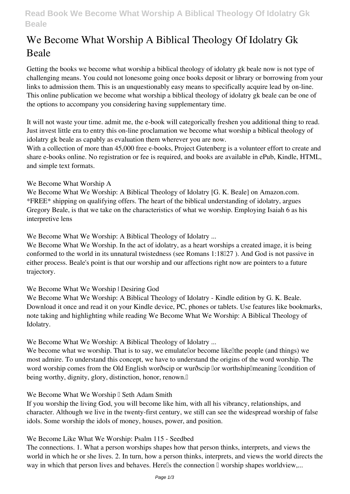# **Read Book We Become What Worship A Biblical Theology Of Idolatry Gk Beale**

# **We Become What Worship A Biblical Theology Of Idolatry Gk Beale**

Getting the books **we become what worship a biblical theology of idolatry gk beale** now is not type of challenging means. You could not lonesome going once books deposit or library or borrowing from your links to admission them. This is an unquestionably easy means to specifically acquire lead by on-line. This online publication we become what worship a biblical theology of idolatry gk beale can be one of the options to accompany you considering having supplementary time.

It will not waste your time. admit me, the e-book will categorically freshen you additional thing to read. Just invest little era to entry this on-line proclamation **we become what worship a biblical theology of idolatry gk beale** as capably as evaluation them wherever you are now.

With a collection of more than 45,000 free e-books, Project Gutenberg is a volunteer effort to create and share e-books online. No registration or fee is required, and books are available in ePub, Kindle, HTML, and simple text formats.

## **We Become What Worship A**

We Become What We Worship: A Biblical Theology of Idolatry [G. K. Beale] on Amazon.com. \*FREE\* shipping on qualifying offers. The heart of the biblical understanding of idolatry, argues Gregory Beale, is that we take on the characteristics of what we worship. Employing Isaiah 6 as his interpretive lens

**We Become What We Worship: A Biblical Theology of Idolatry ...**

We Become What We Worship. In the act of idolatry, as a heart worships a created image, it is being conformed to the world in its unnatural twistedness (see Romans  $1:18\Box 27$ ). And God is not passive in either process. Beale's point is that our worship and our affections right now are pointers to a future trajectory.

# **We Become What We Worship | Desiring God**

We Become What We Worship: A Biblical Theology of Idolatry - Kindle edition by G. K. Beale. Download it once and read it on your Kindle device, PC, phones or tablets. Use features like bookmarks, note taking and highlighting while reading We Become What We Worship: A Biblical Theology of Idolatry.

**We Become What We Worship: A Biblical Theology of Idolatry ...**

We become what we worship. That is to say, we emulatellor become like lifte people (and things) we most admire. To understand this concept, we have to understand the origins of the word worship. The word worship comes from the Old English worðscip or wurðscip llor worthship lmeaning llcondition of being worthy, dignity, glory, distinction, honor, renown.<sup>[]</sup>

## We Become What We Worship I Seth Adam Smith

If you worship the living God, you will become like him, with all his vibrancy, relationships, and character. Although we live in the twenty-first century, we still can see the widespread worship of false idols. Some worship the idols of money, houses, power, and position.

## **We Become Like What We Worship: Psalm 115 - Seedbed**

The connections. 1. What a person worships shapes how that person thinks, interprets, and views the world in which he or she lives. 2. In turn, how a person thinks, interprets, and views the world directs the way in which that person lives and behaves. Herells the connection  $\mathbb I$  worship shapes worldview,...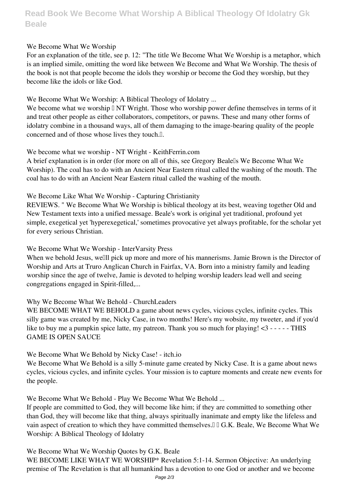# **Read Book We Become What Worship A Biblical Theology Of Idolatry Gk Beale**

### **We Become What We Worship**

For an explanation of the title, see p. 12: "The title We Become What We Worship is a metaphor, which is an implied simile, omitting the word like between We Become and What We Worship. The thesis of the book is not that people become the idols they worship or become the God they worship, but they become like the idols or like God.

#### **We Become What We Worship: A Biblical Theology of Idolatry ...**

We become what we worship  $\Box$  NT Wright. Those who worship power define themselves in terms of it and treat other people as either collaborators, competitors, or pawns. These and many other forms of idolatry combine in a thousand ways, all of them damaging to the image-bearing quality of the people concerned and of those whose lives they touch.<sup>[]</sup>.

#### **We become what we worship - NT Wright - KeithFerrin.com**

A brief explanation is in order (for more on all of this, see Gregory Bealells We Become What We Worship). The coal has to do with an Ancient Near Eastern ritual called the washing of the mouth. The coal has to do with an Ancient Near Eastern ritual called the washing of the mouth.

#### **We Become Like What We Worship - Capturing Christianity**

REVIEWS. " We Become What We Worship is biblical theology at its best, weaving together Old and New Testament texts into a unified message. Beale's work is original yet traditional, profound yet simple, exegetical yet 'hyperexegetical,' sometimes provocative yet always profitable, for the scholar yet for every serious Christian.

**We Become What We Worship - InterVarsity Press**

When we behold Jesus, welll pick up more and more of his mannerisms. Jamie Brown is the Director of Worship and Arts at Truro Anglican Church in Fairfax, VA. Born into a ministry family and leading worship since the age of twelve, Jamie is devoted to helping worship leaders lead well and seeing congregations engaged in Spirit-filled,...

#### **Why We Become What We Behold - ChurchLeaders**

WE BECOME WHAT WE BEHOLD a game about news cycles, vicious cycles, infinite cycles. This silly game was created by me, Nicky Case, in two months! Here's my wobsite, my tweeter, and if you'd like to buy me a pumpkin spice latte, my patreon. Thank you so much for playing! <3 - - - - - THIS GAME IS OPEN SAUCE

#### **We Become What We Behold by Nicky Case! - itch.io**

We Become What We Behold is a silly 5-minute game created by Nicky Case. It is a game about news cycles, vicious cycles, and infinite cycles. Your mission is to capture moments and create new events for the people.

**We Become What We Behold - Play We Become What We Behold ...**

If people are committed to God, they will become like him; if they are committed to something other than God, they will become like that thing, always spiritually inanimate and empty like the lifeless and vain aspect of creation to which they have committed themselves.  $\Box$  G.K. Beale, We Become What We Worship: A Biblical Theology of Idolatry

**We Become What We Worship Quotes by G.K. Beale**

WE BECOME LIKE WHAT WE WORSHIP\* Revelation 5:1-14. Sermon Objective: An underlying premise of The Revelation is that all humankind has a devotion to one God or another and we become